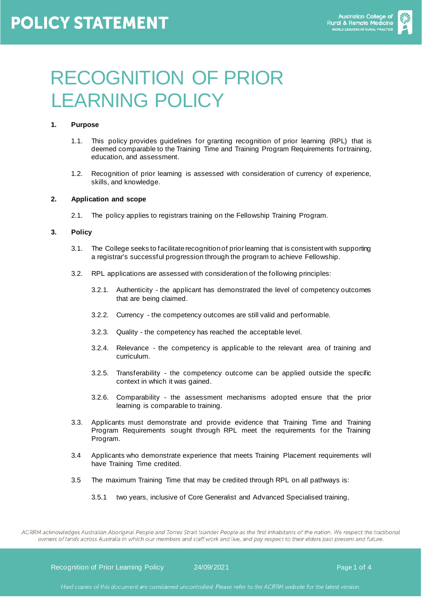

# RECOGNITION OF PRIOR LEARNING POLICY

## **1. Purpose**

- 1.1. This policy provides guidelines for granting recognition of prior learning (RPL) that is deemed comparable to the Training Time and Training Program Requirements for training, education, and assessment.
- 1.2. Recognition of prior learning is assessed with consideration of currency of experience, skills, and knowledge.

#### **2. Application and scope**

2.1. The policy applies to registrars training on the Fellowship Training Program.

#### **3. Policy**

- 3.1. The College seeks to facilitate recognition of prior learning that is consistent with supporting a registrar's successful progression through the program to achieve Fellowship.
- 3.2. RPL applications are assessed with consideration of the following principles:
	- 3.2.1. Authenticity the applicant has demonstrated the level of competency outcomes that are being claimed.
	- 3.2.2. Currency the competency outcomes are still valid and performable.
	- 3.2.3. Quality the competency has reached the acceptable level.
	- 3.2.4. Relevance the competency is applicable to the relevant area of training and curriculum.
	- 3.2.5. Transferability the competency outcome can be applied outside the specific context in which it was gained.
	- 3.2.6. Comparability the assessment mechanisms adopted ensure that the prior learning is comparable to training.
- 3.3. Applicants must demonstrate and provide evidence that Training Time and Training Program Requirements sought through RPL meet the requirements for the Training Program.
- 3.4 Applicants who demonstrate experience that meets Training Placement requirements will have Training Time credited.
- 3.5 The maximum Training Time that may be credited through RPL on all pathways is:
	- 3.5.1 two years, inclusive of Core Generalist and Advanced Specialised training,

ACRRM acknowledges Australian Aboriginal People and Torres Strait Islander People as the first inhabitants of the nation. We respect the traditional owners of lands across Australia in which our members and staff work and live, and pay respect to their elders past present and future.

Recognition of Prior Learning Policy 24/09/2021 Page 1 of 4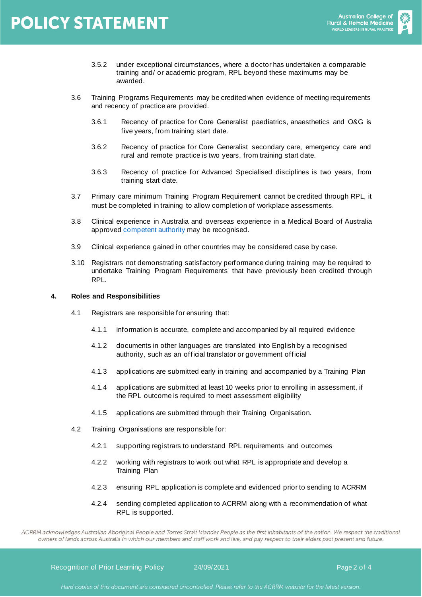

- 3.5.2 under exceptional circumstances, where a doctor has undertaken a comparable training and/ or academic program, RPL beyond these maximums may be awarded.
- 3.6 Training Programs Requirements may be credited when evidence of meeting requirements and recency of practice are provided.
	- 3.6.1 Recency of practice for Core Generalist paediatrics, anaesthetics and O&G is five years, from training start date.
	- 3.6.2 Recency of practice for Core Generalist secondary care, emergency care and rural and remote practice is two years, from training start date.
	- 3.6.3 Recency of practice for Advanced Specialised disciplines is two years, from training start date.
- 3.7 Primary care minimum Training Program Requirement cannot be credited through RPL, it must be completed in training to allow completion of workplace assessments.
- 3.8 Clinical experience in Australia and overseas experience in a Medical Board of Australia approve[d competent authority](https://www.medicalboard.gov.au/registration/international-medical-graduates/competent-authority-pathway.aspx) may be recognised.
- 3.9 Clinical experience gained in other countries may be considered case by case.
- 3.10 Registrars not demonstrating satisfactory performance during training may be required to undertake Training Program Requirements that have previously been credited through RPL.

#### **4. Roles and Responsibilities**

- 4.1 Registrars are responsible for ensuring that:
	- 4.1.1 information is accurate, complete and accompanied by all required evidence
	- 4.1.2 documents in other languages are translated into English by a recognised authority, such as an official translator or government official
	- 4.1.3 applications are submitted early in training and accompanied by a Training Plan
	- 4.1.4 applications are submitted at least 10 weeks prior to enrolling in assessment, if the RPL outcome is required to meet assessment eligibility
	- 4.1.5 applications are submitted through their Training Organisation.
- 4.2 Training Organisations are responsible for:
	- 4.2.1 supporting registrars to understand RPL requirements and outcomes
	- 4.2.2 working with registrars to work out what RPL is appropriate and develop a Training Plan
	- 4.2.3 ensuring RPL application is complete and evidenced prior to sending to ACRRM
	- 4.2.4 sending completed application to ACRRM along with a recommendation of what RPL is supported.

ACRRM acknowledges Australian Aboriginal People and Torres Strait Islander People as the first inhabitants of the nation. We respect the traditional owners of lands across Australia in which our members and staff work and live, and pay respect to their elders past present and future.

Recognition of Prior Learning Policy 24/09/2021 Page 2 of 4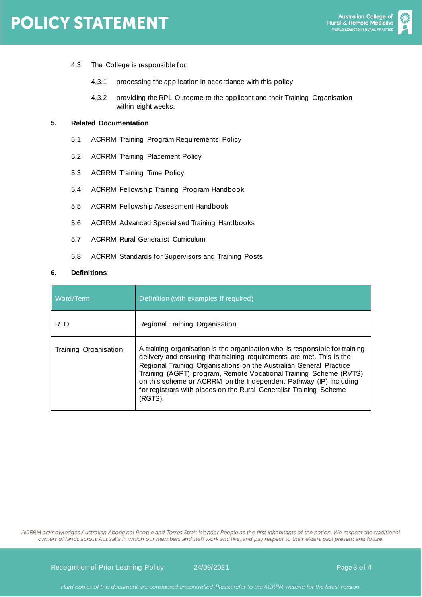

- 4.3 The College is responsible for:
	- 4.3.1 processing the application in accordance with this policy
	- 4.3.2 providing the RPL Outcome to the applicant and their Training Organisation within eight weeks.

## **5. Related Documentation**

- 5.1 ACRRM Training Program Requirements Policy
- 5.2 ACRRM Training Placement Policy
- 5.3 ACRRM Training Time Policy
- 5.4 ACRRM Fellowship Training Program Handbook
- 5.5 ACRRM Fellowship Assessment Handbook
- 5.6 ACRRM Advanced Specialised Training Handbooks
- 5.7 ACRRM Rural Generalist Curriculum
- 5.8 ACRRM Standards for Supervisors and Training Posts

#### **6. Definitions**

| Word/Term             | Definition (with examples if required)                                                                                                                                                                                                                                                                                                                                                                                                                |
|-----------------------|-------------------------------------------------------------------------------------------------------------------------------------------------------------------------------------------------------------------------------------------------------------------------------------------------------------------------------------------------------------------------------------------------------------------------------------------------------|
| <b>RTO</b>            | Regional Training Organisation                                                                                                                                                                                                                                                                                                                                                                                                                        |
| Training Organisation | A training organisation is the organisation who is responsible for training<br>delivery and ensuring that training requirements are met. This is the<br>Regional Training Organisations on the Australian General Practice<br>Training (AGPT) program, Remote Vocational Training Scheme (RVTS)<br>on this scheme or ACRRM on the Independent Pathway (IP) including<br>for registrars with places on the Rural Generalist Training Scheme<br>(RGTS). |

ACRRM acknowledges Australian Aboriginal People and Torres Strait Islander People as the first inhabitants of the nation. We respect the traditional owners of lands across Australia in which our members and staff work and live, and pay respect to their elders past present and future.